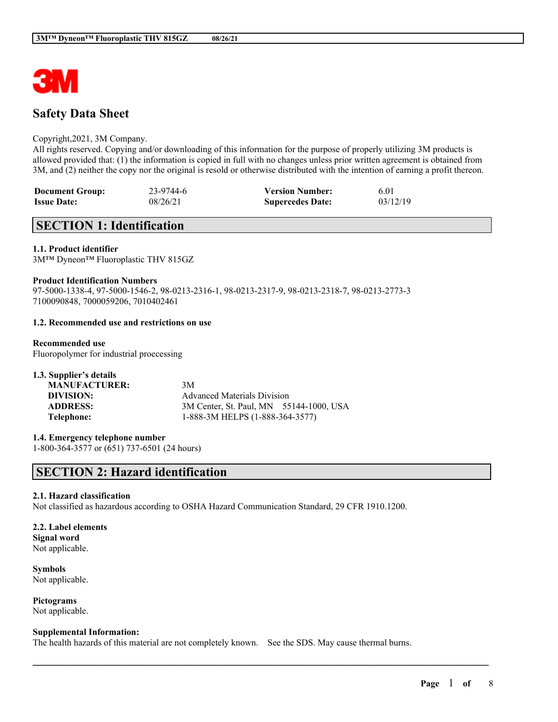

# **Safety Data Sheet**

### Copyright,2021, 3M Company.

All rights reserved. Copying and/or downloading of this information for the purpose of properly utilizing 3M products is allowed provided that: (1) the information is copied in full with no changes unless prior written agreement is obtained from 3M, and (2) neither the copy nor the original is resold or otherwise distributed with the intention of earning a profit thereon.

| <b>Document Group:</b> | 23-9744-6 | <b>Version Number:</b>  | 6.01     |
|------------------------|-----------|-------------------------|----------|
| <b>Issue Date:</b>     | 08/26/21  | <b>Supercedes Date:</b> | 03/12/19 |

# **SECTION 1: Identification**

### **1.1. Product identifier**

3M™ Dyneon™ Fluoroplastic THV 815GZ

### **Product Identification Numbers**

97-5000-1338-4, 97-5000-1546-2, 98-0213-2316-1, 98-0213-2317-9, 98-0213-2318-7, 98-0213-2773-3 7100090848, 7000059206, 7010402461

### **1.2. Recommended use and restrictions on use**

### **Recommended use**

Fluoropolymer for industrial proecessing

| 1.3. Supplier's details |                                         |  |
|-------------------------|-----------------------------------------|--|
| <b>MANUFACTURER:</b>    | 3M                                      |  |
| DIVISION:               | <b>Advanced Materials Division</b>      |  |
| <b>ADDRESS:</b>         | 3M Center, St. Paul, MN 55144-1000, USA |  |
| Telephone:              | 1-888-3M HELPS (1-888-364-3577)         |  |

**1.4. Emergency telephone number** 1-800-364-3577 or (651) 737-6501 (24 hours)

# **SECTION 2: Hazard identification**

## **2.1. Hazard classification**

Not classified as hazardous according to OSHA Hazard Communication Standard, 29 CFR 1910.1200.

# **2.2. Label elements**

**Signal word** Not applicable.

**Symbols** Not applicable.

**Pictograms** Not applicable.

### **Supplemental Information:**

The health hazards of this material are not completely known. See the SDS. May cause thermal burns.

 $\mathcal{L}_\mathcal{L} = \mathcal{L}_\mathcal{L} = \mathcal{L}_\mathcal{L} = \mathcal{L}_\mathcal{L} = \mathcal{L}_\mathcal{L} = \mathcal{L}_\mathcal{L} = \mathcal{L}_\mathcal{L} = \mathcal{L}_\mathcal{L} = \mathcal{L}_\mathcal{L} = \mathcal{L}_\mathcal{L} = \mathcal{L}_\mathcal{L} = \mathcal{L}_\mathcal{L} = \mathcal{L}_\mathcal{L} = \mathcal{L}_\mathcal{L} = \mathcal{L}_\mathcal{L} = \mathcal{L}_\mathcal{L} = \mathcal{L}_\mathcal{L}$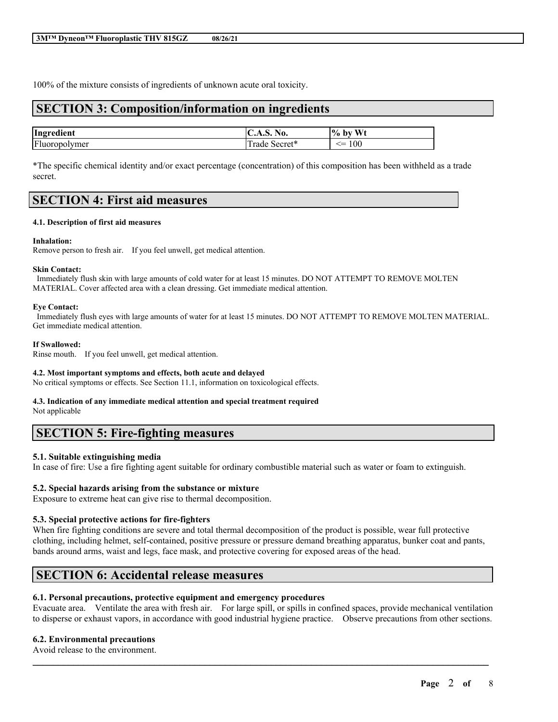100% of the mixture consists of ingredients of unknown acute oral toxicity.

# **SECTION 3: Composition/information on ingredients**

| Ingredient    | $-$<br>NO.<br>$\mathbf{C}$ . $\mathbf{D}$ . | $W_1$<br>$\frac{10}{6}$<br>- hv |
|---------------|---------------------------------------------|---------------------------------|
| Fluoropolymer | .<br>.ecret*<br>rade<br><b>DULLE</b>        | .00<br>.__<br>$\sim$            |

\*The specific chemical identity and/or exact percentage (concentration) of this composition has been withheld as a trade secret.

# **SECTION 4: First aid measures**

### **4.1. Description of first aid measures**

### **Inhalation:**

Remove person to fresh air. If you feel unwell, get medical attention.

#### **Skin Contact:**

Immediately flush skin with large amounts of cold water for at least 15 minutes. DO NOT ATTEMPT TO REMOVE MOLTEN MATERIAL. Cover affected area with a clean dressing. Get immediate medical attention.

#### **Eye Contact:**

Immediately flush eyes with large amounts of water for at least 15 minutes. DO NOT ATTEMPT TO REMOVE MOLTEN MATERIAL. Get immediate medical attention.

#### **If Swallowed:**

Rinse mouth. If you feel unwell, get medical attention.

### **4.2. Most important symptoms and effects, both acute and delayed**

No critical symptoms or effects. See Section 11.1, information on toxicological effects.

# **4.3. Indication of any immediate medical attention and special treatment required**

Not applicable

# **SECTION 5: Fire-fighting measures**

## **5.1. Suitable extinguishing media**

In case of fire: Use a fire fighting agent suitable for ordinary combustible material such as water or foam to extinguish.

### **5.2. Special hazards arising from the substance or mixture**

Exposure to extreme heat can give rise to thermal decomposition.

## **5.3. Special protective actions for fire-fighters**

When fire fighting conditions are severe and total thermal decomposition of the product is possible, wear full protective clothing, including helmet, self-contained, positive pressure or pressure demand breathing apparatus, bunker coat and pants, bands around arms, waist and legs, face mask, and protective covering for exposed areas of the head.

# **SECTION 6: Accidental release measures**

### **6.1. Personal precautions, protective equipment and emergency procedures**

Evacuate area. Ventilate the area with fresh air. For large spill, or spills in confined spaces, provide mechanical ventilation to disperse or exhaust vapors, in accordance with good industrial hygiene practice. Observe precautions from other sections.

 $\mathcal{L}_\mathcal{L} = \mathcal{L}_\mathcal{L} = \mathcal{L}_\mathcal{L} = \mathcal{L}_\mathcal{L} = \mathcal{L}_\mathcal{L} = \mathcal{L}_\mathcal{L} = \mathcal{L}_\mathcal{L} = \mathcal{L}_\mathcal{L} = \mathcal{L}_\mathcal{L} = \mathcal{L}_\mathcal{L} = \mathcal{L}_\mathcal{L} = \mathcal{L}_\mathcal{L} = \mathcal{L}_\mathcal{L} = \mathcal{L}_\mathcal{L} = \mathcal{L}_\mathcal{L} = \mathcal{L}_\mathcal{L} = \mathcal{L}_\mathcal{L}$ 

## **6.2. Environmental precautions**

Avoid release to the environment.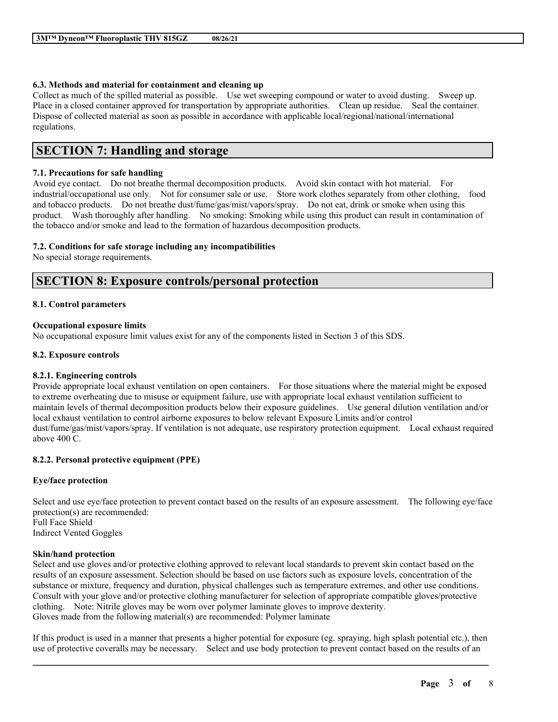### **6.3. Methods and material for containment and cleaning up**

Collect as much of the spilled material as possible. Use wet sweeping compound or water to avoid dusting. Sweep up. Place in a closed container approved for transportation by appropriate authorities. Clean up residue. Seal the container. Dispose of collected material as soon as possible in accordance with applicable local/regional/national/international regulations.

# **SECTION 7: Handling and storage**

### **7.1. Precautions for safe handling**

Avoid eye contact. Do not breathe thermal decomposition products. Avoid skin contact with hot material. For industrial/occupational use only. Not for consumer sale or use. Store work clothes separately from other clothing, food and tobacco products. Do not breathe dust/fume/gas/mist/vapors/spray. Do not eat, drink or smoke when using this product. Wash thoroughly after handling. No smoking: Smoking while using this product can result in contamination of the tobacco and/or smoke and lead to the formation of hazardous decomposition products.

## **7.2. Conditions for safe storage including any incompatibilities**

No special storage requirements.

# **SECTION 8: Exposure controls/personal protection**

### **8.1. Control parameters**

### **Occupational exposure limits**

No occupational exposure limit values exist for any of the components listed in Section 3 of this SDS.

### **8.2. Exposure controls**

## **8.2.1. Engineering controls**

Provide appropriate local exhaust ventilation on open containers. For those situations where the material might be exposed to extreme overheating due to misuse or equipment failure, use with appropriate local exhaust ventilation sufficient to maintain levels of thermal decomposition products below their exposure guidelines. Use general dilution ventilation and/or local exhaust ventilation to control airborne exposures to below relevant Exposure Limits and/or control dust/fume/gas/mist/vapors/spray. If ventilation is not adequate, use respiratory protection equipment. Local exhaust required above 400 C.

## **8.2.2. Personal protective equipment (PPE)**

### **Eye/face protection**

Select and use eye/face protection to prevent contact based on the results of an exposure assessment. The following eye/face protection(s) are recommended: Full Face Shield Indirect Vented Goggles

### **Skin/hand protection**

Select and use gloves and/or protective clothing approved to relevant local standards to prevent skin contact based on the results of an exposure assessment. Selection should be based on use factors such as exposure levels, concentration of the substance or mixture, frequency and duration, physical challenges such as temperature extremes, and other use conditions. Consult with your glove and/or protective clothing manufacturer for selection of appropriate compatible gloves/protective clothing. Note: Nitrile gloves may be worn over polymer laminate gloves to improve dexterity. Gloves made from the following material(s) are recommended: Polymer laminate

If this product is used in a manner that presents a higher potential for exposure (eg. spraying, high splash potential etc.), then use of protective coveralls may be necessary. Select and use body protection to prevent contact based on the results of an

 $\mathcal{L}_\mathcal{L} = \mathcal{L}_\mathcal{L} = \mathcal{L}_\mathcal{L} = \mathcal{L}_\mathcal{L} = \mathcal{L}_\mathcal{L} = \mathcal{L}_\mathcal{L} = \mathcal{L}_\mathcal{L} = \mathcal{L}_\mathcal{L} = \mathcal{L}_\mathcal{L} = \mathcal{L}_\mathcal{L} = \mathcal{L}_\mathcal{L} = \mathcal{L}_\mathcal{L} = \mathcal{L}_\mathcal{L} = \mathcal{L}_\mathcal{L} = \mathcal{L}_\mathcal{L} = \mathcal{L}_\mathcal{L} = \mathcal{L}_\mathcal{L}$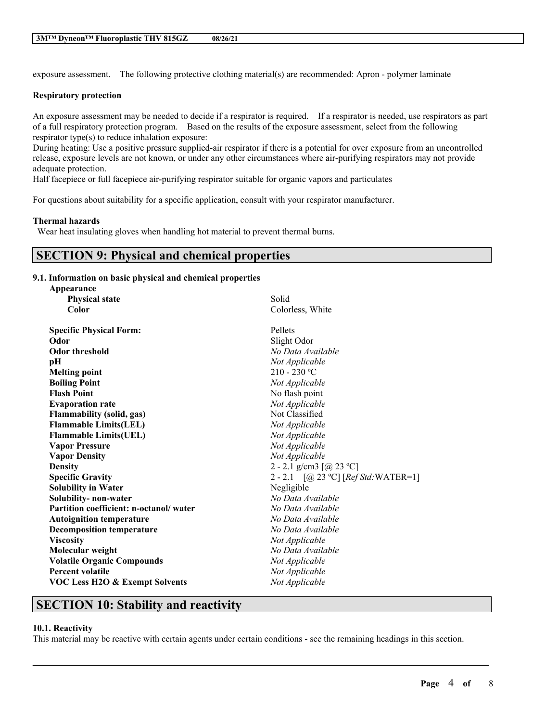exposure assessment. The following protective clothing material(s) are recommended: Apron - polymer laminate

### **Respiratory protection**

An exposure assessment may be needed to decide if a respirator is required. If a respirator is needed, use respirators as part of a full respiratory protection program. Based on the results of the exposure assessment, select from the following respirator type(s) to reduce inhalation exposure:

During heating: Use a positive pressure supplied-air respirator if there is a potential for over exposure from an uncontrolled release, exposure levels are not known, or under any other circumstances where air-purifying respirators may not provide adequate protection.

Half facepiece or full facepiece air-purifying respirator suitable for organic vapors and particulates

For questions about suitability for a specific application, consult with your respirator manufacturer.

### **Thermal hazards**

Wear heat insulating gloves when handling hot material to prevent thermal burns.

# **SECTION 9: Physical and chemical properties**

### **9.1. Information on basic physical and chemical properties**

| Appearance                             |                                        |
|----------------------------------------|----------------------------------------|
| <b>Physical state</b>                  | Solid                                  |
| Color                                  | Colorless, White                       |
| <b>Specific Physical Form:</b>         | Pellets                                |
| Odor                                   | Slight Odor                            |
| <b>Odor threshold</b>                  | No Data Available                      |
| рH                                     | Not Applicable                         |
| <b>Melting point</b>                   | $210 - 230$ °C                         |
| <b>Boiling Point</b>                   | Not Applicable                         |
| <b>Flash Point</b>                     | No flash point                         |
| <b>Evaporation rate</b>                | Not Applicable                         |
| <b>Flammability (solid, gas)</b>       | Not Classified                         |
| <b>Flammable Limits(LEL)</b>           | Not Applicable                         |
| <b>Flammable Limits(UEL)</b>           | Not Applicable                         |
| <b>Vapor Pressure</b>                  | Not Applicable                         |
| <b>Vapor Density</b>                   | Not Applicable                         |
| <b>Density</b>                         | 2 - 2.1 g/cm3 $[@ 23 °C]$              |
| <b>Specific Gravity</b>                | 2 - 2.1 $[@ 23 °C] [Ref Std: WATER=1]$ |
| <b>Solubility in Water</b>             | Negligible                             |
| Solubility- non-water                  | No Data Available                      |
| Partition coefficient: n-octanol/water | No Data Available                      |
| <b>Autoignition temperature</b>        | No Data Available                      |
| <b>Decomposition temperature</b>       | No Data Available                      |
| <b>Viscosity</b>                       | Not Applicable                         |
| Molecular weight                       | No Data Available                      |
| <b>Volatile Organic Compounds</b>      | Not Applicable                         |
| <b>Percent volatile</b>                | Not Applicable                         |
| VOC Less H2O & Exempt Solvents         | Not Applicable                         |
|                                        |                                        |

# **SECTION 10: Stability and reactivity**

# **10.1. Reactivity**

This material may be reactive with certain agents under certain conditions - see the remaining headings in this section.

 $\mathcal{L}_\mathcal{L} = \mathcal{L}_\mathcal{L} = \mathcal{L}_\mathcal{L} = \mathcal{L}_\mathcal{L} = \mathcal{L}_\mathcal{L} = \mathcal{L}_\mathcal{L} = \mathcal{L}_\mathcal{L} = \mathcal{L}_\mathcal{L} = \mathcal{L}_\mathcal{L} = \mathcal{L}_\mathcal{L} = \mathcal{L}_\mathcal{L} = \mathcal{L}_\mathcal{L} = \mathcal{L}_\mathcal{L} = \mathcal{L}_\mathcal{L} = \mathcal{L}_\mathcal{L} = \mathcal{L}_\mathcal{L} = \mathcal{L}_\mathcal{L}$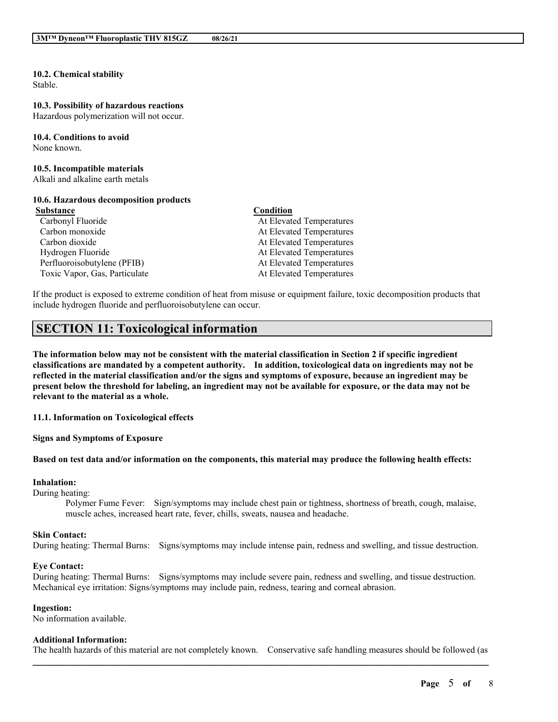#### **10.2. Chemical stability** Stable.

# **10.3. Possibility of hazardous reactions**

Hazardous polymerization will not occur.

#### **10.4. Conditions to avoid** None known.

#### **10.5. Incompatible materials**

Alkali and alkaline earth metals

# **10.6. Hazardous decomposition products**

Carbonyl Fluoride At Elevated Temperatures

## **Substance Condition**

Carbon monoxide At Elevated Temperatures Carbon dioxide At Elevated Temperatures Hydrogen Fluoride At Elevated Temperatures Perfluoroisobutylene (PFIB) At Elevated Temperatures Toxic Vapor, Gas, Particulate At Elevated Temperatures

If the product is exposed to extreme condition of heat from misuse or equipment failure, toxic decomposition products that include hydrogen fluoride and perfluoroisobutylene can occur.

# **SECTION 11: Toxicological information**

The information below may not be consistent with the material classification in Section 2 if specific ingredient **classifications are mandated by a competent authority. In addition, toxicological data on ingredients may not be** reflected in the material classification and/or the signs and symptoms of exposure, because an ingredient may be present below the threshold for labeling, an ingredient may not be available for exposure, or the data may not be **relevant to the material as a whole.**

**11.1. Information on Toxicological effects**

**Signs and Symptoms of Exposure**

### Based on test data and/or information on the components, this material may produce the following health effects:

### **Inhalation:**

During heating:

Polymer Fume Fever: Sign/symptoms may include chest pain or tightness, shortness of breath, cough, malaise, muscle aches, increased heart rate, fever, chills, sweats, nausea and headache.

### **Skin Contact:**

During heating: Thermal Burns: Signs/symptoms may include intense pain, redness and swelling, and tissue destruction.

### **Eye Contact:**

During heating: Thermal Burns: Signs/symptoms may include severe pain, redness and swelling, and tissue destruction. Mechanical eye irritation: Signs/symptoms may include pain, redness, tearing and corneal abrasion.

### **Ingestion:**

No information available.

## **Additional Information:**

 $\mathcal{L}_\mathcal{L} = \mathcal{L}_\mathcal{L} = \mathcal{L}_\mathcal{L} = \mathcal{L}_\mathcal{L} = \mathcal{L}_\mathcal{L} = \mathcal{L}_\mathcal{L} = \mathcal{L}_\mathcal{L} = \mathcal{L}_\mathcal{L} = \mathcal{L}_\mathcal{L} = \mathcal{L}_\mathcal{L} = \mathcal{L}_\mathcal{L} = \mathcal{L}_\mathcal{L} = \mathcal{L}_\mathcal{L} = \mathcal{L}_\mathcal{L} = \mathcal{L}_\mathcal{L} = \mathcal{L}_\mathcal{L} = \mathcal{L}_\mathcal{L}$ The health hazards of this material are not completely known. Conservative safe handling measures should be followed (as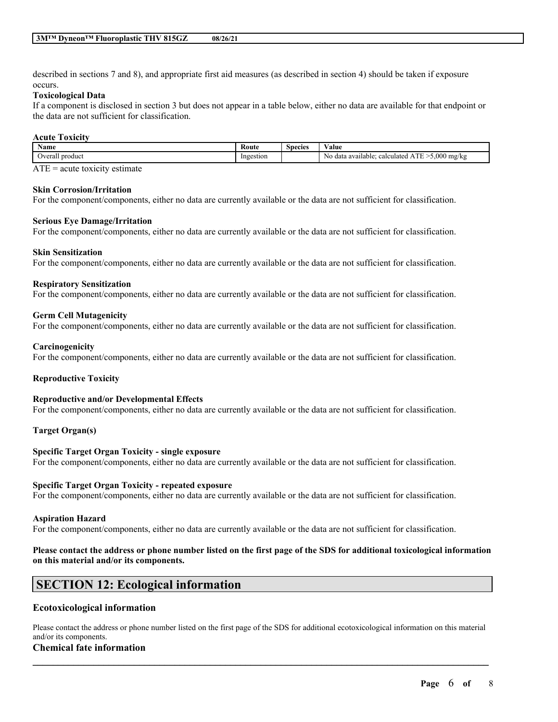described in sections 7 and 8), and appropriate first aid measures (as described in section 4) should be taken if exposure occurs.

### **Toxicological Data**

If a component is disclosed in section 3 but does not appear in a table below, either no data are available for that endpoint or the data are not sufficient for classification.

### **Acute Toxicity**

| . .<br>Name       | -<br>Route | <b>Species</b> | $\mathbf{v}$<br>⁄ alue                                                     |
|-------------------|------------|----------------|----------------------------------------------------------------------------|
| Overal<br>product | Ingestion  |                | 5.000<br><b>STATISTICS</b><br>Nc<br>mg/kg<br>calculated<br>data available: |
| $\sim$ $\sim$     |            |                |                                                                            |

 $ATE = acute$  toxicity estimate

### **Skin Corrosion/Irritation**

For the component/components, either no data are currently available or the data are not sufficient for classification.

### **Serious Eye Damage/Irritation**

For the component/components, either no data are currently available or the data are not sufficient for classification.

### **Skin Sensitization**

For the component/components, either no data are currently available or the data are not sufficient for classification.

### **Respiratory Sensitization**

For the component/components, either no data are currently available or the data are not sufficient for classification.

### **Germ Cell Mutagenicity**

For the component/components, either no data are currently available or the data are not sufficient for classification.

### **Carcinogenicity**

For the component/components, either no data are currently available or the data are not sufficient for classification.

## **Reproductive Toxicity**

### **Reproductive and/or Developmental Effects**

For the component/components, either no data are currently available or the data are not sufficient for classification.

### **Target Organ(s)**

### **Specific Target Organ Toxicity - single exposure**

For the component/components, either no data are currently available or the data are not sufficient for classification.

### **Specific Target Organ Toxicity - repeated exposure**

For the component/components, either no data are currently available or the data are not sufficient for classification.

### **Aspiration Hazard**

For the component/components, either no data are currently available or the data are not sufficient for classification.

### Please contact the address or phone number listed on the first page of the SDS for additional toxicological information **on this material and/or its components.**

# **SECTION 12: Ecological information**

## **Ecotoxicological information**

Please contact the address or phone number listed on the first page of the SDS for additional ecotoxicological information on this material and/or its components.

 $\mathcal{L}_\mathcal{L} = \mathcal{L}_\mathcal{L} = \mathcal{L}_\mathcal{L} = \mathcal{L}_\mathcal{L} = \mathcal{L}_\mathcal{L} = \mathcal{L}_\mathcal{L} = \mathcal{L}_\mathcal{L} = \mathcal{L}_\mathcal{L} = \mathcal{L}_\mathcal{L} = \mathcal{L}_\mathcal{L} = \mathcal{L}_\mathcal{L} = \mathcal{L}_\mathcal{L} = \mathcal{L}_\mathcal{L} = \mathcal{L}_\mathcal{L} = \mathcal{L}_\mathcal{L} = \mathcal{L}_\mathcal{L} = \mathcal{L}_\mathcal{L}$ 

### **Chemical fate information**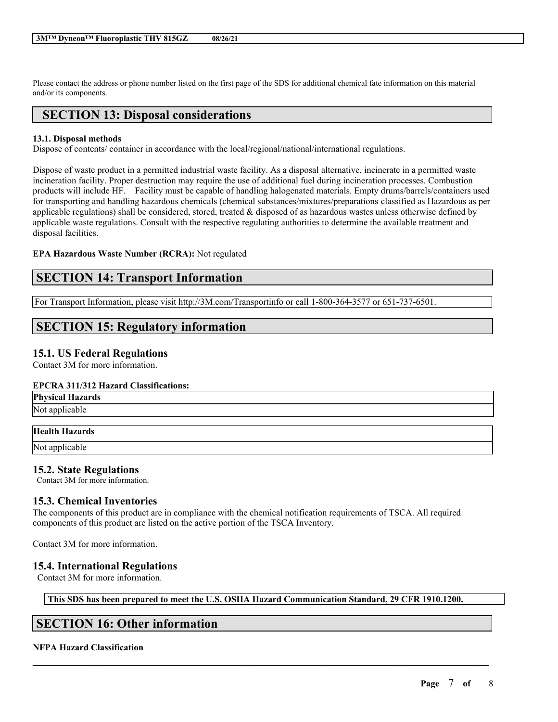Please contact the address or phone number listed on the first page of the SDS for additional chemical fate information on this material and/or its components.

# **SECTION 13: Disposal considerations**

## **13.1. Disposal methods**

Dispose of contents/ container in accordance with the local/regional/national/international regulations.

Dispose of waste product in a permitted industrial waste facility. As a disposal alternative, incinerate in a permitted waste incineration facility. Proper destruction may require the use of additional fuel during incineration processes. Combustion products will include HF. Facility must be capable of handling halogenated materials. Empty drums/barrels/containers used for transporting and handling hazardous chemicals (chemical substances/mixtures/preparations classified as Hazardous as per applicable regulations) shall be considered, stored, treated  $\&$  disposed of as hazardous wastes unless otherwise defined by applicable waste regulations. Consult with the respective regulating authorities to determine the available treatment and disposal facilities.

### **EPA Hazardous Waste Number (RCRA):** Not regulated

# **SECTION 14: Transport Information**

For Transport Information, please visit http://3M.com/Transportinfo or call 1-800-364-3577 or 651-737-6501.

# **SECTION 15: Regulatory information**

## **15.1. US Federal Regulations**

Contact 3M for more information.

### **EPCRA 311/312 Hazard Classifications:**

| <b>Physical Hazards</b> |
|-------------------------|
|                         |

Not applicable

## **Health Hazards**

Not applicable

## **15.2. State Regulations**

Contact 3M for more information.

## **15.3. Chemical Inventories**

The components of this product are in compliance with the chemical notification requirements of TSCA. All required components of this product are listed on the active portion of the TSCA Inventory.

Contact 3M for more information.

## **15.4. International Regulations**

Contact 3M for more information.

## **This SDS has been prepared to meet the U.S. OSHA Hazard Communication Standard, 29 CFR 1910.1200.**

 $\mathcal{L}_\mathcal{L} = \mathcal{L}_\mathcal{L} = \mathcal{L}_\mathcal{L} = \mathcal{L}_\mathcal{L} = \mathcal{L}_\mathcal{L} = \mathcal{L}_\mathcal{L} = \mathcal{L}_\mathcal{L} = \mathcal{L}_\mathcal{L} = \mathcal{L}_\mathcal{L} = \mathcal{L}_\mathcal{L} = \mathcal{L}_\mathcal{L} = \mathcal{L}_\mathcal{L} = \mathcal{L}_\mathcal{L} = \mathcal{L}_\mathcal{L} = \mathcal{L}_\mathcal{L} = \mathcal{L}_\mathcal{L} = \mathcal{L}_\mathcal{L}$ 

# **SECTION 16: Other information**

## **NFPA Hazard Classification**